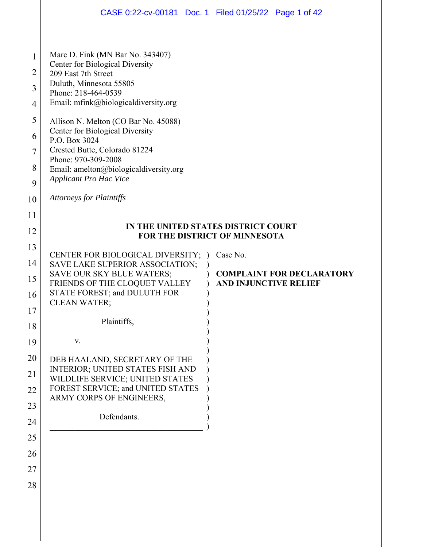|                                                        | CASE 0:22-cv-00181 Doc. 1 Filed 01/25/22 Page 1 of 42                                                                                                                                                                                                                                                                                                                                                               |  |  |  |  |  |
|--------------------------------------------------------|---------------------------------------------------------------------------------------------------------------------------------------------------------------------------------------------------------------------------------------------------------------------------------------------------------------------------------------------------------------------------------------------------------------------|--|--|--|--|--|
|                                                        |                                                                                                                                                                                                                                                                                                                                                                                                                     |  |  |  |  |  |
| 1<br>$\overline{2}$<br>3<br>4<br>5<br>6<br>$\tau$<br>8 | Marc D. Fink (MN Bar No. 343407)<br>Center for Biological Diversity<br>209 East 7th Street<br>Duluth, Minnesota 55805<br>Phone: 218-464-0539<br>Email: mfink@biologicaldiversity.org<br>Allison N. Melton (CO Bar No. 45088)<br>Center for Biological Diversity<br>P.O. Box 3024<br>Crested Butte, Colorado 81224<br>Phone: 970-309-2008<br>Email: amelton@biologicaldiversity.org<br><b>Applicant Pro Hac Vice</b> |  |  |  |  |  |
| 9<br>10                                                | <b>Attorneys for Plaintiffs</b>                                                                                                                                                                                                                                                                                                                                                                                     |  |  |  |  |  |
| 11                                                     |                                                                                                                                                                                                                                                                                                                                                                                                                     |  |  |  |  |  |
| 12                                                     | IN THE UNITED STATES DISTRICT COURT                                                                                                                                                                                                                                                                                                                                                                                 |  |  |  |  |  |
| 13                                                     | FOR THE DISTRICT OF MINNESOTA                                                                                                                                                                                                                                                                                                                                                                                       |  |  |  |  |  |
| 14                                                     | Case No.<br>CENTER FOR BIOLOGICAL DIVERSITY;<br>SAVE LAKE SUPERIOR ASSOCIATION;                                                                                                                                                                                                                                                                                                                                     |  |  |  |  |  |
| 15                                                     | SAVE OUR SKY BLUE WATERS;<br><b>COMPLAINT FOR DECLARATORY</b>                                                                                                                                                                                                                                                                                                                                                       |  |  |  |  |  |
| 16                                                     | <b>AND INJUNCTIVE RELIEF</b><br>FRIENDS OF THE CLOQUET VALLEY<br>STATE FOREST; and DULUTH FOR                                                                                                                                                                                                                                                                                                                       |  |  |  |  |  |
| 17                                                     | <b>CLEAN WATER;</b>                                                                                                                                                                                                                                                                                                                                                                                                 |  |  |  |  |  |
| 18                                                     | Plaintiffs,                                                                                                                                                                                                                                                                                                                                                                                                         |  |  |  |  |  |
| 19                                                     | V.                                                                                                                                                                                                                                                                                                                                                                                                                  |  |  |  |  |  |
| 20                                                     | DEB HAALAND, SECRETARY OF THE                                                                                                                                                                                                                                                                                                                                                                                       |  |  |  |  |  |
| 21                                                     | INTERIOR; UNITED STATES FISH AND<br>WILDLIFE SERVICE; UNITED STATES                                                                                                                                                                                                                                                                                                                                                 |  |  |  |  |  |
| 22                                                     | FOREST SERVICE; and UNITED STATES<br>ARMY CORPS OF ENGINEERS,                                                                                                                                                                                                                                                                                                                                                       |  |  |  |  |  |
| 23                                                     |                                                                                                                                                                                                                                                                                                                                                                                                                     |  |  |  |  |  |
| 24                                                     | Defendants.                                                                                                                                                                                                                                                                                                                                                                                                         |  |  |  |  |  |
| 25                                                     |                                                                                                                                                                                                                                                                                                                                                                                                                     |  |  |  |  |  |
| 26                                                     |                                                                                                                                                                                                                                                                                                                                                                                                                     |  |  |  |  |  |
| 27                                                     |                                                                                                                                                                                                                                                                                                                                                                                                                     |  |  |  |  |  |
| 28                                                     |                                                                                                                                                                                                                                                                                                                                                                                                                     |  |  |  |  |  |
|                                                        |                                                                                                                                                                                                                                                                                                                                                                                                                     |  |  |  |  |  |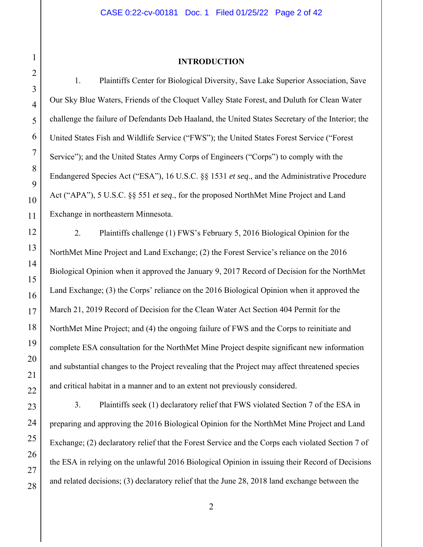# 1 2 3 4 5 6 7 8 9 10 11 12 13 14 15 16 17 18 19 20 21 22 23 24 25 26 27 28

#### **INTRODUCTION**

1. Plaintiffs Center for Biological Diversity, Save Lake Superior Association, Save Our Sky Blue Waters, Friends of the Cloquet Valley State Forest, and Duluth for Clean Water challenge the failure of Defendants Deb Haaland, the United States Secretary of the Interior; the United States Fish and Wildlife Service ("FWS"); the United States Forest Service ("Forest Service"); and the United States Army Corps of Engineers ("Corps") to comply with the Endangered Species Act ("ESA"), 16 U.S.C. §§ 1531 *et seq*., and the Administrative Procedure Act ("APA"), 5 U.S.C. §§ 551 *et seq*., for the proposed NorthMet Mine Project and Land Exchange in northeastern Minnesota.

2. Plaintiffs challenge (1) FWS's February 5, 2016 Biological Opinion for the NorthMet Mine Project and Land Exchange; (2) the Forest Service's reliance on the 2016 Biological Opinion when it approved the January 9, 2017 Record of Decision for the NorthMet Land Exchange; (3) the Corps' reliance on the 2016 Biological Opinion when it approved the March 21, 2019 Record of Decision for the Clean Water Act Section 404 Permit for the NorthMet Mine Project; and (4) the ongoing failure of FWS and the Corps to reinitiate and complete ESA consultation for the NorthMet Mine Project despite significant new information and substantial changes to the Project revealing that the Project may affect threatened species and critical habitat in a manner and to an extent not previously considered.

3. Plaintiffs seek (1) declaratory relief that FWS violated Section 7 of the ESA in preparing and approving the 2016 Biological Opinion for the NorthMet Mine Project and Land Exchange; (2) declaratory relief that the Forest Service and the Corps each violated Section 7 of the ESA in relying on the unlawful 2016 Biological Opinion in issuing their Record of Decisions and related decisions; (3) declaratory relief that the June 28, 2018 land exchange between the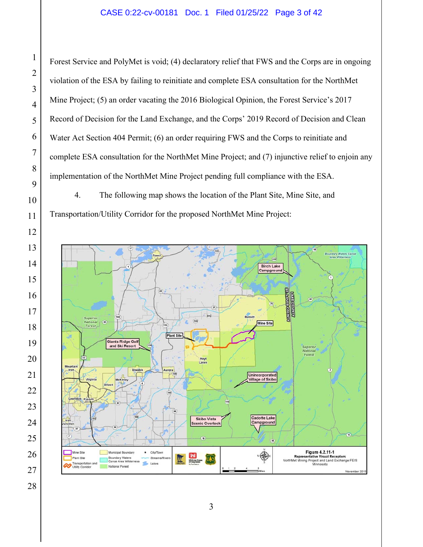#### CASE 0:22-cv-00181 Doc. 1 Filed 01/25/22 Page 3 of 42

Forest Service and PolyMet is void; (4) declaratory relief that FWS and the Corps are in ongoing violation of the ESA by failing to reinitiate and complete ESA consultation for the NorthMet Mine Project; (5) an order vacating the 2016 Biological Opinion, the Forest Service's 2017 Record of Decision for the Land Exchange, and the Corps' 2019 Record of Decision and Clean Water Act Section 404 Permit; (6) an order requiring FWS and the Corps to reinitiate and complete ESA consultation for the NorthMet Mine Project; and (7) injunctive relief to enjoin any implementation of the NorthMet Mine Project pending full compliance with the ESA.

4. The following map shows the location of the Plant Site, Mine Site, and Transportation/Utility Corridor for the proposed NorthMet Mine Project:

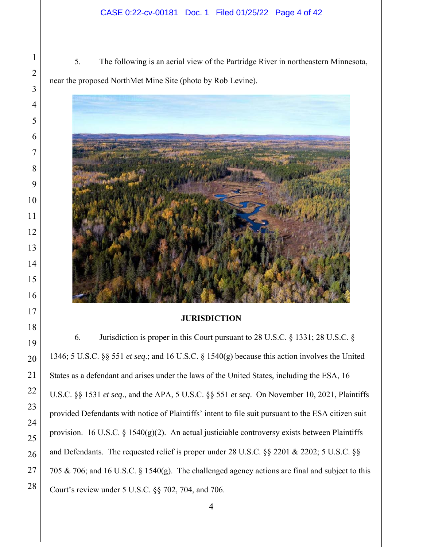#### CASE 0:22-cv-00181 Doc. 1 Filed 01/25/22 Page 4 of 42

5. The following is an aerial view of the Partridge River in northeastern Minnesota, near the proposed NorthMet Mine Site (photo by Rob Levine).



#### **JURISDICTION**

6. Jurisdiction is proper in this Court pursuant to 28 U.S.C. § 1331; 28 U.S.C. § 1346; 5 U.S.C. §§ 551 *et seq*.; and 16 U.S.C. § 1540(g) because this action involves the United States as a defendant and arises under the laws of the United States, including the ESA, 16 U.S.C. §§ 1531 *et seq*., and the APA, 5 U.S.C. §§ 551 *et seq*. On November 10, 2021, Plaintiffs provided Defendants with notice of Plaintiffs' intent to file suit pursuant to the ESA citizen suit provision. 16 U.S.C. § 1540(g)(2). An actual justiciable controversy exists between Plaintiffs and Defendants. The requested relief is proper under 28 U.S.C. §§ 2201 & 2202; 5 U.S.C. §§ 705 & 706; and 16 U.S.C. § 1540(g). The challenged agency actions are final and subject to this Court's review under 5 U.S.C. §§ 702, 704, and 706.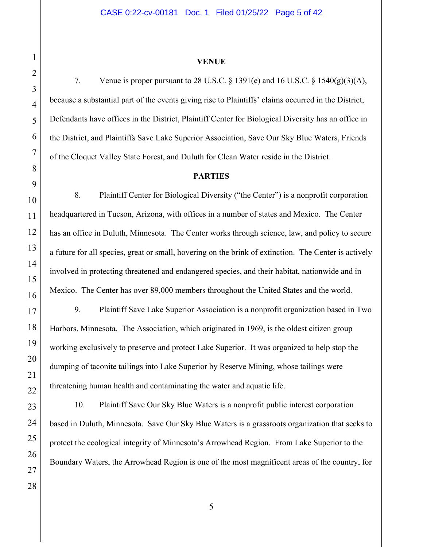#### **VENUE**

7. Venue is proper pursuant to 28 U.S.C.  $\S$  1391(e) and 16 U.S.C.  $\S$  1540(g)(3)(A), because a substantial part of the events giving rise to Plaintiffs' claims occurred in the District, Defendants have offices in the District, Plaintiff Center for Biological Diversity has an office in the District, and Plaintiffs Save Lake Superior Association, Save Our Sky Blue Waters, Friends of the Cloquet Valley State Forest, and Duluth for Clean Water reside in the District.

#### **PARTIES**

8. Plaintiff Center for Biological Diversity ("the Center") is a nonprofit corporation headquartered in Tucson, Arizona, with offices in a number of states and Mexico. The Center has an office in Duluth, Minnesota. The Center works through science, law, and policy to secure a future for all species, great or small, hovering on the brink of extinction. The Center is actively involved in protecting threatened and endangered species, and their habitat, nationwide and in Mexico. The Center has over 89,000 members throughout the United States and the world.

9. Plaintiff Save Lake Superior Association is a nonprofit organization based in Two Harbors, Minnesota. The Association, which originated in 1969, is the oldest citizen group working exclusively to preserve and protect Lake Superior. It was organized to help stop the dumping of taconite tailings into Lake Superior by Reserve Mining, whose tailings were threatening human health and contaminating the water and aquatic life.

10. Plaintiff Save Our Sky Blue Waters is a nonprofit public interest corporation based in Duluth, Minnesota. Save Our Sky Blue Waters is a grassroots organization that seeks to protect the ecological integrity of Minnesota's Arrowhead Region. From Lake Superior to the Boundary Waters, the Arrowhead Region is one of the most magnificent areas of the country, for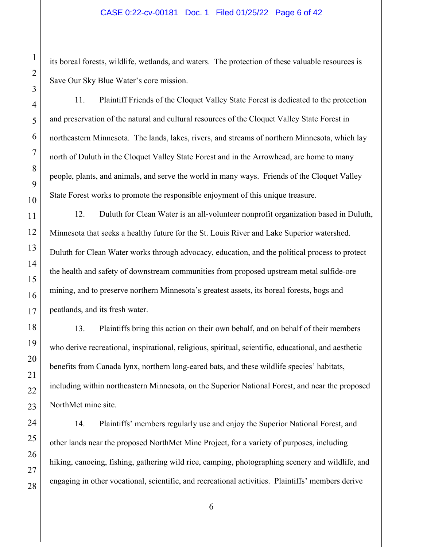#### CASE 0:22-cv-00181 Doc. 1 Filed 01/25/22 Page 6 of 42

its boreal forests, wildlife, wetlands, and waters. The protection of these valuable resources is Save Our Sky Blue Water's core mission.

11. Plaintiff Friends of the Cloquet Valley State Forest is dedicated to the protection and preservation of the natural and cultural resources of the Cloquet Valley State Forest in northeastern Minnesota. The lands, lakes, rivers, and streams of northern Minnesota, which lay north of Duluth in the Cloquet Valley State Forest and in the Arrowhead, are home to many people, plants, and animals, and serve the world in many ways. Friends of the Cloquet Valley State Forest works to promote the responsible enjoyment of this unique treasure.

12. Duluth for Clean Water is an all-volunteer nonprofit organization based in Duluth, Minnesota that seeks a healthy future for the St. Louis River and Lake Superior watershed. Duluth for Clean Water works through advocacy, education, and the political process to protect the health and safety of downstream communities from proposed upstream metal sulfide-ore mining, and to preserve northern Minnesota's greatest assets, its boreal forests, bogs and peatlands, and its fresh water.

13. Plaintiffs bring this action on their own behalf, and on behalf of their members who derive recreational, inspirational, religious, spiritual, scientific, educational, and aesthetic benefits from Canada lynx, northern long-eared bats, and these wildlife species' habitats, including within northeastern Minnesota, on the Superior National Forest, and near the proposed NorthMet mine site.

14. Plaintiffs' members regularly use and enjoy the Superior National Forest, and other lands near the proposed NorthMet Mine Project, for a variety of purposes, including hiking, canoeing, fishing, gathering wild rice, camping, photographing scenery and wildlife, and engaging in other vocational, scientific, and recreational activities. Plaintiffs' members derive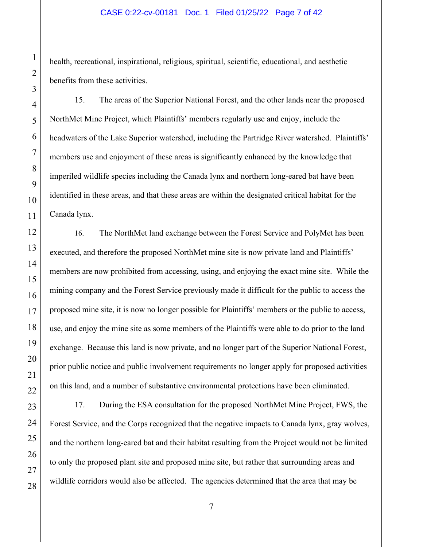#### CASE 0:22-cv-00181 Doc. 1 Filed 01/25/22 Page 7 of 42

health, recreational, inspirational, religious, spiritual, scientific, educational, and aesthetic benefits from these activities.

15. The areas of the Superior National Forest, and the other lands near the proposed NorthMet Mine Project, which Plaintiffs' members regularly use and enjoy, include the headwaters of the Lake Superior watershed, including the Partridge River watershed. Plaintiffs' members use and enjoyment of these areas is significantly enhanced by the knowledge that imperiled wildlife species including the Canada lynx and northern long-eared bat have been identified in these areas, and that these areas are within the designated critical habitat for the Canada lynx.

16. The NorthMet land exchange between the Forest Service and PolyMet has been executed, and therefore the proposed NorthMet mine site is now private land and Plaintiffs' members are now prohibited from accessing, using, and enjoying the exact mine site. While the mining company and the Forest Service previously made it difficult for the public to access the proposed mine site, it is now no longer possible for Plaintiffs' members or the public to access, use, and enjoy the mine site as some members of the Plaintiffs were able to do prior to the land exchange. Because this land is now private, and no longer part of the Superior National Forest, prior public notice and public involvement requirements no longer apply for proposed activities on this land, and a number of substantive environmental protections have been eliminated.

17. During the ESA consultation for the proposed NorthMet Mine Project, FWS, the Forest Service, and the Corps recognized that the negative impacts to Canada lynx, gray wolves, and the northern long-eared bat and their habitat resulting from the Project would not be limited to only the proposed plant site and proposed mine site, but rather that surrounding areas and wildlife corridors would also be affected. The agencies determined that the area that may be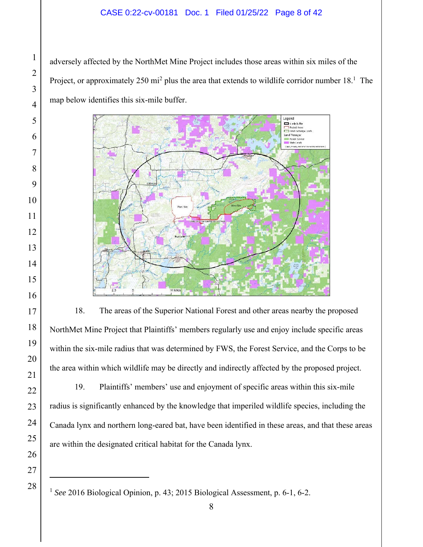#### CASE 0:22-cv-00181 Doc. 1 Filed 01/25/22 Page 8 of 42

adversely affected by the NorthMet Mine Project includes those areas within six miles of the Project, or approximately 250 mi<sup>2</sup> plus the area that extends to wildlife corridor number  $18<sup>1</sup>$ . The map below identifies this six-mile buffer.



18. The areas of the Superior National Forest and other areas nearby the proposed NorthMet Mine Project that Plaintiffs' members regularly use and enjoy include specific areas within the six-mile radius that was determined by FWS, the Forest Service, and the Corps to be the area within which wildlife may be directly and indirectly affected by the proposed project.

19. Plaintiffs' members' use and enjoyment of specific areas within this six-mile radius is significantly enhanced by the knowledge that imperiled wildlife species, including the Canada lynx and northern long-eared bat, have been identified in these areas, and that these areas are within the designated critical habitat for the Canada lynx.

<sup>&</sup>lt;sup>1</sup> See 2016 Biological Opinion, p. 43; 2015 Biological Assessment, p. 6-1, 6-2.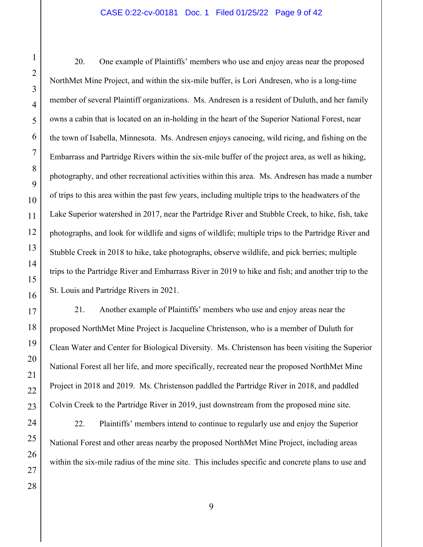#### CASE 0:22-cv-00181 Doc. 1 Filed 01/25/22 Page 9 of 42

20. One example of Plaintiffs' members who use and enjoy areas near the proposed NorthMet Mine Project, and within the six-mile buffer, is Lori Andresen, who is a long-time member of several Plaintiff organizations. Ms. Andresen is a resident of Duluth, and her family owns a cabin that is located on an in-holding in the heart of the Superior National Forest, near the town of Isabella, Minnesota. Ms. Andresen enjoys canoeing, wild ricing, and fishing on the Embarrass and Partridge Rivers within the six-mile buffer of the project area, as well as hiking, photography, and other recreational activities within this area. Ms. Andresen has made a number of trips to this area within the past few years, including multiple trips to the headwaters of the Lake Superior watershed in 2017, near the Partridge River and Stubble Creek, to hike, fish, take photographs, and look for wildlife and signs of wildlife; multiple trips to the Partridge River and Stubble Creek in 2018 to hike, take photographs, observe wildlife, and pick berries; multiple trips to the Partridge River and Embarrass River in 2019 to hike and fish; and another trip to the St. Louis and Partridge Rivers in 2021.

21. Another example of Plaintiffs' members who use and enjoy areas near the proposed NorthMet Mine Project is Jacqueline Christenson, who is a member of Duluth for Clean Water and Center for Biological Diversity. Ms. Christenson has been visiting the Superior National Forest all her life, and more specifically, recreated near the proposed NorthMet Mine Project in 2018 and 2019. Ms. Christenson paddled the Partridge River in 2018, and paddled Colvin Creek to the Partridge River in 2019, just downstream from the proposed mine site.

22. Plaintiffs' members intend to continue to regularly use and enjoy the Superior National Forest and other areas nearby the proposed NorthMet Mine Project, including areas within the six-mile radius of the mine site. This includes specific and concrete plans to use and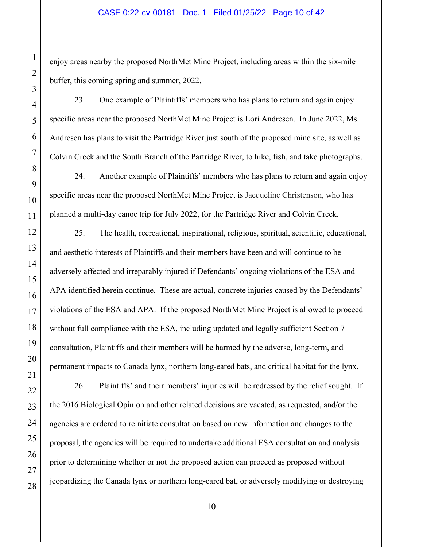#### CASE 0:22-cv-00181 Doc. 1 Filed 01/25/22 Page 10 of 42

enjoy areas nearby the proposed NorthMet Mine Project, including areas within the six-mile buffer, this coming spring and summer, 2022.

23. One example of Plaintiffs' members who has plans to return and again enjoy specific areas near the proposed NorthMet Mine Project is Lori Andresen. In June 2022, Ms. Andresen has plans to visit the Partridge River just south of the proposed mine site, as well as Colvin Creek and the South Branch of the Partridge River, to hike, fish, and take photographs.

24. Another example of Plaintiffs' members who has plans to return and again enjoy specific areas near the proposed NorthMet Mine Project is Jacqueline Christenson, who has planned a multi-day canoe trip for July 2022, for the Partridge River and Colvin Creek.

25. The health, recreational, inspirational, religious, spiritual, scientific, educational, and aesthetic interests of Plaintiffs and their members have been and will continue to be adversely affected and irreparably injured if Defendants' ongoing violations of the ESA and APA identified herein continue. These are actual, concrete injuries caused by the Defendants' violations of the ESA and APA. If the proposed NorthMet Mine Project is allowed to proceed without full compliance with the ESA, including updated and legally sufficient Section 7 consultation, Plaintiffs and their members will be harmed by the adverse, long-term, and permanent impacts to Canada lynx, northern long-eared bats, and critical habitat for the lynx.

26. Plaintiffs' and their members' injuries will be redressed by the relief sought. If the 2016 Biological Opinion and other related decisions are vacated, as requested, and/or the agencies are ordered to reinitiate consultation based on new information and changes to the proposal, the agencies will be required to undertake additional ESA consultation and analysis prior to determining whether or not the proposed action can proceed as proposed without jeopardizing the Canada lynx or northern long-eared bat, or adversely modifying or destroying

1

2

3

4

5

6

7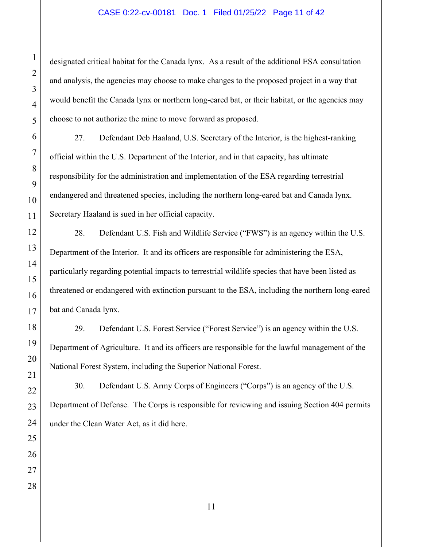#### CASE 0:22-cv-00181 Doc. 1 Filed 01/25/22 Page 11 of 42

designated critical habitat for the Canada lynx. As a result of the additional ESA consultation and analysis, the agencies may choose to make changes to the proposed project in a way that would benefit the Canada lynx or northern long-eared bat, or their habitat, or the agencies may choose to not authorize the mine to move forward as proposed.

27. Defendant Deb Haaland, U.S. Secretary of the Interior, is the highest-ranking official within the U.S. Department of the Interior, and in that capacity, has ultimate responsibility for the administration and implementation of the ESA regarding terrestrial endangered and threatened species, including the northern long-eared bat and Canada lynx. Secretary Haaland is sued in her official capacity.

28. Defendant U.S. Fish and Wildlife Service ("FWS") is an agency within the U.S. Department of the Interior. It and its officers are responsible for administering the ESA, particularly regarding potential impacts to terrestrial wildlife species that have been listed as threatened or endangered with extinction pursuant to the ESA, including the northern long-eared bat and Canada lynx.

29. Defendant U.S. Forest Service ("Forest Service") is an agency within the U.S. Department of Agriculture. It and its officers are responsible for the lawful management of the National Forest System, including the Superior National Forest.

30. Defendant U.S. Army Corps of Engineers ("Corps") is an agency of the U.S. Department of Defense. The Corps is responsible for reviewing and issuing Section 404 permits under the Clean Water Act, as it did here.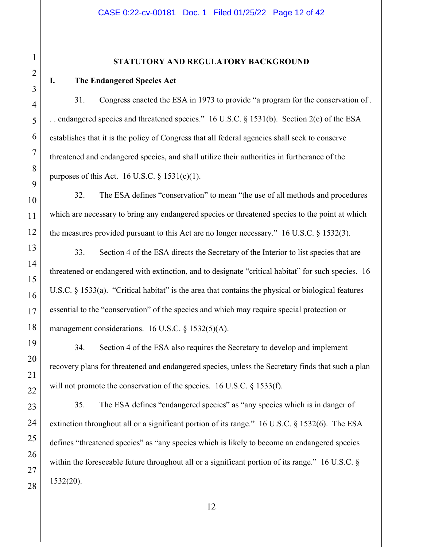#### **STATUTORY AND REGULATORY BACKGROUND**

#### **I. The Endangered Species Act**

31. Congress enacted the ESA in 1973 to provide "a program for the conservation of . . . endangered species and threatened species." 16 U.S.C. § 1531(b). Section 2(c) of the ESA establishes that it is the policy of Congress that all federal agencies shall seek to conserve threatened and endangered species, and shall utilize their authorities in furtherance of the purposes of this Act. 16 U.S.C.  $\S 1531(c)(1)$ .

32. The ESA defines "conservation" to mean "the use of all methods and procedures which are necessary to bring any endangered species or threatened species to the point at which the measures provided pursuant to this Act are no longer necessary." 16 U.S.C. § 1532(3).

33. Section 4 of the ESA directs the Secretary of the Interior to list species that are threatened or endangered with extinction, and to designate "critical habitat" for such species. 16 U.S.C. § 1533(a). "Critical habitat" is the area that contains the physical or biological features essential to the "conservation" of the species and which may require special protection or management considerations. 16 U.S.C. § 1532(5)(A).

34. Section 4 of the ESA also requires the Secretary to develop and implement recovery plans for threatened and endangered species, unless the Secretary finds that such a plan will not promote the conservation of the species. 16 U.S.C. § 1533(f).

35. The ESA defines "endangered species" as "any species which is in danger of extinction throughout all or a significant portion of its range." 16 U.S.C. § 1532(6). The ESA defines "threatened species" as "any species which is likely to become an endangered species within the foreseeable future throughout all or a significant portion of its range." 16 U.S.C. § 1532(20).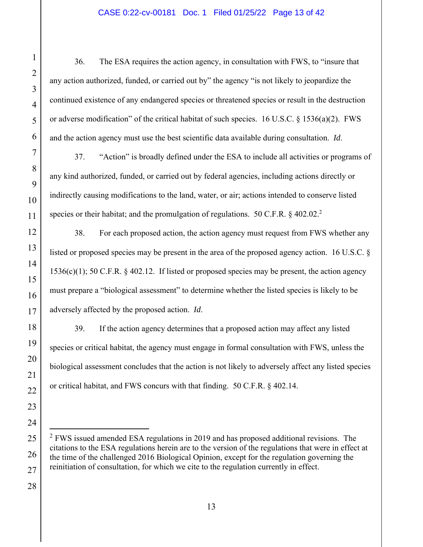#### CASE 0:22-cv-00181 Doc. 1 Filed 01/25/22 Page 13 of 42

36. The ESA requires the action agency, in consultation with FWS, to "insure that any action authorized, funded, or carried out by" the agency "is not likely to jeopardize the continued existence of any endangered species or threatened species or result in the destruction or adverse modification" of the critical habitat of such species. 16 U.S.C. § 1536(a)(2). FWS and the action agency must use the best scientific data available during consultation. *Id*.

37. "Action" is broadly defined under the ESA to include all activities or programs of any kind authorized, funded, or carried out by federal agencies, including actions directly or indirectly causing modifications to the land, water, or air; actions intended to conserve listed species or their habitat; and the promulgation of regulations. 50 C.F.R.  $\S$  402.02.<sup>2</sup>

38. For each proposed action, the action agency must request from FWS whether any listed or proposed species may be present in the area of the proposed agency action. 16 U.S.C. §  $1536(c)(1)$ ; 50 C.F.R. § 402.12. If listed or proposed species may be present, the action agency must prepare a "biological assessment" to determine whether the listed species is likely to be adversely affected by the proposed action. *Id*.

39. If the action agency determines that a proposed action may affect any listed species or critical habitat, the agency must engage in formal consultation with FWS, unless the biological assessment concludes that the action is not likely to adversely affect any listed species or critical habitat, and FWS concurs with that finding. 50 C.F.R. § 402.14.

 $2$  FWS issued amended ESA regulations in 2019 and has proposed additional revisions. The citations to the ESA regulations herein are to the version of the regulations that were in effect at the time of the challenged 2016 Biological Opinion, except for the regulation governing the reinitiation of consultation, for which we cite to the regulation currently in effect.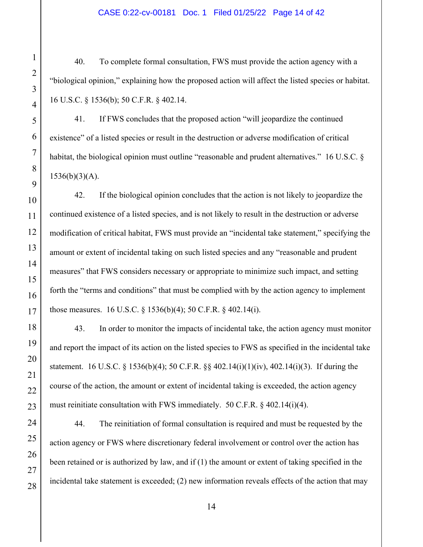#### CASE 0:22-cv-00181 Doc. 1 Filed 01/25/22 Page 14 of 42

40. To complete formal consultation, FWS must provide the action agency with a "biological opinion," explaining how the proposed action will affect the listed species or habitat. 16 U.S.C. § 1536(b); 50 C.F.R. § 402.14.

41. If FWS concludes that the proposed action "will jeopardize the continued existence" of a listed species or result in the destruction or adverse modification of critical habitat, the biological opinion must outline "reasonable and prudent alternatives." 16 U.S.C. §  $1536(b)(3)(A).$ 

42. If the biological opinion concludes that the action is not likely to jeopardize the continued existence of a listed species, and is not likely to result in the destruction or adverse modification of critical habitat, FWS must provide an "incidental take statement," specifying the amount or extent of incidental taking on such listed species and any "reasonable and prudent measures" that FWS considers necessary or appropriate to minimize such impact, and setting forth the "terms and conditions" that must be complied with by the action agency to implement those measures. 16 U.S.C. § 1536(b)(4); 50 C.F.R. § 402.14(i).

43. In order to monitor the impacts of incidental take, the action agency must monitor and report the impact of its action on the listed species to FWS as specified in the incidental take statement. 16 U.S.C. § 1536(b)(4); 50 C.F.R. §§ 402.14(i)(1)(iv), 402.14(i)(3). If during the course of the action, the amount or extent of incidental taking is exceeded, the action agency must reinitiate consultation with FWS immediately. 50 C.F.R.  $\S$  402.14(i)(4).

44. The reinitiation of formal consultation is required and must be requested by the action agency or FWS where discretionary federal involvement or control over the action has been retained or is authorized by law, and if (1) the amount or extent of taking specified in the incidental take statement is exceeded; (2) new information reveals effects of the action that may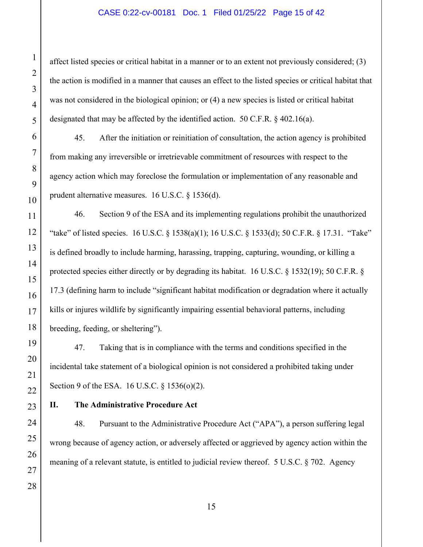#### CASE 0:22-cv-00181 Doc. 1 Filed 01/25/22 Page 15 of 42

affect listed species or critical habitat in a manner or to an extent not previously considered; (3) the action is modified in a manner that causes an effect to the listed species or critical habitat that was not considered in the biological opinion; or (4) a new species is listed or critical habitat designated that may be affected by the identified action. 50 C.F.R. § 402.16(a).

45. After the initiation or reinitiation of consultation, the action agency is prohibited from making any irreversible or irretrievable commitment of resources with respect to the agency action which may foreclose the formulation or implementation of any reasonable and prudent alternative measures. 16 U.S.C. § 1536(d).

46. Section 9 of the ESA and its implementing regulations prohibit the unauthorized "take" of listed species. 16 U.S.C. § 1538(a)(1); 16 U.S.C. § 1533(d); 50 C.F.R. § 17.31. "Take" is defined broadly to include harming, harassing, trapping, capturing, wounding, or killing a protected species either directly or by degrading its habitat. 16 U.S.C. § 1532(19); 50 C.F.R. § 17.3 (defining harm to include "significant habitat modification or degradation where it actually kills or injures wildlife by significantly impairing essential behavioral patterns, including breeding, feeding, or sheltering").

47. Taking that is in compliance with the terms and conditions specified in the incidental take statement of a biological opinion is not considered a prohibited taking under Section 9 of the ESA. 16 U.S.C. § 1536(o)(2).

#### **II. The Administrative Procedure Act**

48. Pursuant to the Administrative Procedure Act ("APA"), a person suffering legal wrong because of agency action, or adversely affected or aggrieved by agency action within the meaning of a relevant statute, is entitled to judicial review thereof. 5 U.S.C. § 702. Agency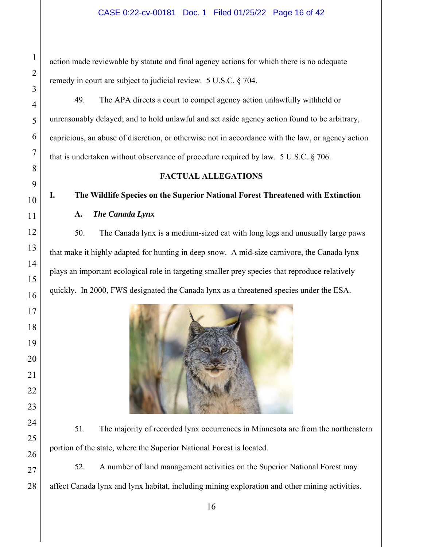#### CASE 0:22-cv-00181 Doc. 1 Filed 01/25/22 Page 16 of 42

action made reviewable by statute and final agency actions for which there is no adequate remedy in court are subject to judicial review. 5 U.S.C. § 704.

49. The APA directs a court to compel agency action unlawfully withheld or unreasonably delayed; and to hold unlawful and set aside agency action found to be arbitrary, capricious, an abuse of discretion, or otherwise not in accordance with the law, or agency action that is undertaken without observance of procedure required by law. 5 U.S.C. § 706.

#### **FACTUAL ALLEGATIONS**

# **I. The Wildlife Species on the Superior National Forest Threatened with Extinction**

**A.** *The Canada Lynx*

50. The Canada lynx is a medium-sized cat with long legs and unusually large paws that make it highly adapted for hunting in deep snow. A mid-size carnivore, the Canada lynx plays an important ecological role in targeting smaller prey species that reproduce relatively quickly. In 2000, FWS designated the Canada lynx as a threatened species under the ESA.



51. The majority of recorded lynx occurrences in Minnesota are from the northeastern portion of the state, where the Superior National Forest is located.

52. A number of land management activities on the Superior National Forest may affect Canada lynx and lynx habitat, including mining exploration and other mining activities.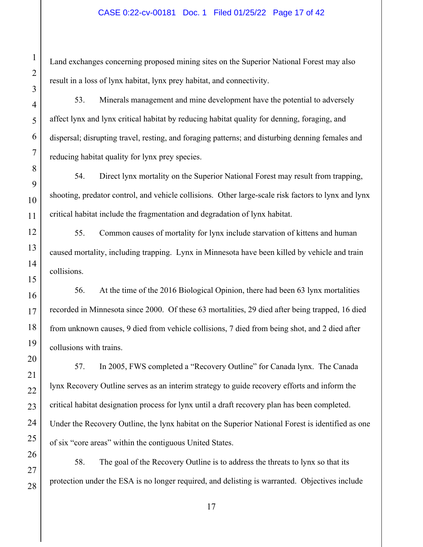#### CASE 0:22-cv-00181 Doc. 1 Filed 01/25/22 Page 17 of 42

Land exchanges concerning proposed mining sites on the Superior National Forest may also result in a loss of lynx habitat, lynx prey habitat, and connectivity.

53. Minerals management and mine development have the potential to adversely affect lynx and lynx critical habitat by reducing habitat quality for denning, foraging, and dispersal; disrupting travel, resting, and foraging patterns; and disturbing denning females and reducing habitat quality for lynx prey species.

54. Direct lynx mortality on the Superior National Forest may result from trapping, shooting, predator control, and vehicle collisions. Other large-scale risk factors to lynx and lynx critical habitat include the fragmentation and degradation of lynx habitat.

55. Common causes of mortality for lynx include starvation of kittens and human caused mortality, including trapping. Lynx in Minnesota have been killed by vehicle and train collisions.

56. At the time of the 2016 Biological Opinion, there had been 63 lynx mortalities recorded in Minnesota since 2000. Of these 63 mortalities, 29 died after being trapped, 16 died from unknown causes, 9 died from vehicle collisions, 7 died from being shot, and 2 died after collusions with trains.

57. In 2005, FWS completed a "Recovery Outline" for Canada lynx. The Canada lynx Recovery Outline serves as an interim strategy to guide recovery efforts and inform the critical habitat designation process for lynx until a draft recovery plan has been completed. Under the Recovery Outline, the lynx habitat on the Superior National Forest is identified as one of six "core areas" within the contiguous United States.

58. The goal of the Recovery Outline is to address the threats to lynx so that its protection under the ESA is no longer required, and delisting is warranted. Objectives include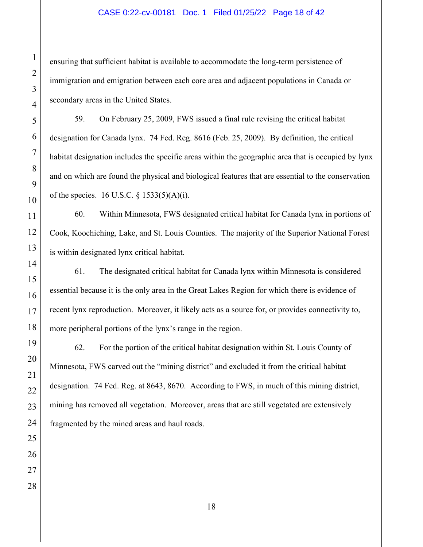#### CASE 0:22-cv-00181 Doc. 1 Filed 01/25/22 Page 18 of 42

ensuring that sufficient habitat is available to accommodate the long-term persistence of immigration and emigration between each core area and adjacent populations in Canada or secondary areas in the United States.

59. On February 25, 2009, FWS issued a final rule revising the critical habitat designation for Canada lynx. 74 Fed. Reg. 8616 (Feb. 25, 2009). By definition, the critical habitat designation includes the specific areas within the geographic area that is occupied by lynx and on which are found the physical and biological features that are essential to the conservation of the species. 16 U.S.C.  $\S$  1533(5)(A)(i).

60. Within Minnesota, FWS designated critical habitat for Canada lynx in portions of Cook, Koochiching, Lake, and St. Louis Counties. The majority of the Superior National Forest is within designated lynx critical habitat.

61. The designated critical habitat for Canada lynx within Minnesota is considered essential because it is the only area in the Great Lakes Region for which there is evidence of recent lynx reproduction. Moreover, it likely acts as a source for, or provides connectivity to, more peripheral portions of the lynx's range in the region.

62. For the portion of the critical habitat designation within St. Louis County of Minnesota, FWS carved out the "mining district" and excluded it from the critical habitat designation. 74 Fed. Reg. at 8643, 8670. According to FWS, in much of this mining district, mining has removed all vegetation. Moreover, areas that are still vegetated are extensively fragmented by the mined areas and haul roads.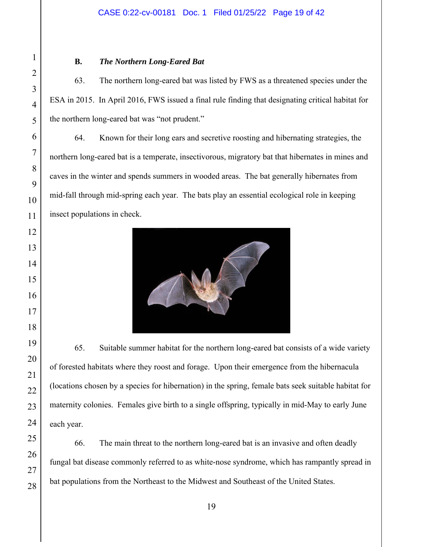#### CASE 0:22-cv-00181 Doc. 1 Filed 01/25/22 Page 19 of 42

#### **B.** *The Northern Long-Eared Bat*

63. The northern long-eared bat was listed by FWS as a threatened species under the ESA in 2015. In April 2016, FWS issued a final rule finding that designating critical habitat for the northern long-eared bat was "not prudent."

64. Known for their long ears and secretive roosting and hibernating strategies, the northern long-eared bat is a temperate, insectivorous, migratory bat that hibernates in mines and caves in the winter and spends summers in wooded areas. The bat generally hibernates from mid-fall through mid-spring each year. The bats play an essential ecological role in keeping insect populations in check.



65. Suitable summer habitat for the northern long-eared bat consists of a wide variety of forested habitats where they roost and forage. Upon their emergence from the hibernacula (locations chosen by a species for hibernation) in the spring, female bats seek suitable habitat for maternity colonies. Females give birth to a single offspring, typically in mid-May to early June each year.

66. The main threat to the northern long-eared bat is an invasive and often deadly fungal bat disease commonly referred to as white-nose syndrome, which has rampantly spread in bat populations from the Northeast to the Midwest and Southeast of the United States.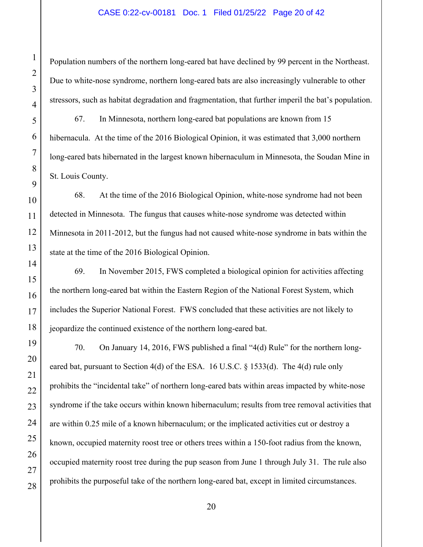#### CASE 0:22-cv-00181 Doc. 1 Filed 01/25/22 Page 20 of 42

Population numbers of the northern long-eared bat have declined by 99 percent in the Northeast. Due to white-nose syndrome, northern long-eared bats are also increasingly vulnerable to other stressors, such as habitat degradation and fragmentation, that further imperil the bat's population.

67. In Minnesota, northern long-eared bat populations are known from 15 hibernacula. At the time of the 2016 Biological Opinion, it was estimated that 3,000 northern long-eared bats hibernated in the largest known hibernaculum in Minnesota, the Soudan Mine in St. Louis County.

68. At the time of the 2016 Biological Opinion, white-nose syndrome had not been detected in Minnesota. The fungus that causes white-nose syndrome was detected within Minnesota in 2011-2012, but the fungus had not caused white-nose syndrome in bats within the state at the time of the 2016 Biological Opinion.

69. In November 2015, FWS completed a biological opinion for activities affecting the northern long-eared bat within the Eastern Region of the National Forest System, which includes the Superior National Forest. FWS concluded that these activities are not likely to jeopardize the continued existence of the northern long-eared bat.

70. On January 14, 2016, FWS published a final "4(d) Rule" for the northern longeared bat, pursuant to Section 4(d) of the ESA. 16 U.S.C.  $\S$  1533(d). The 4(d) rule only prohibits the "incidental take" of northern long-eared bats within areas impacted by white-nose syndrome if the take occurs within known hibernaculum; results from tree removal activities that are within 0.25 mile of a known hibernaculum; or the implicated activities cut or destroy a known, occupied maternity roost tree or others trees within a 150-foot radius from the known, occupied maternity roost tree during the pup season from June 1 through July 31. The rule also prohibits the purposeful take of the northern long-eared bat, except in limited circumstances.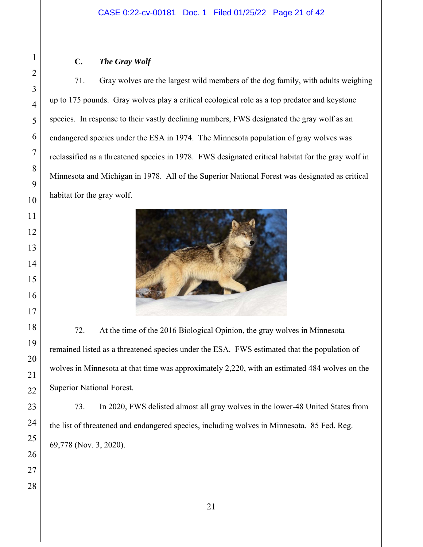#### CASE 0:22-cv-00181 Doc. 1 Filed 01/25/22 Page 21 of 42

#### **C.** *The Gray Wolf*

71. Gray wolves are the largest wild members of the dog family, with adults weighing up to 175 pounds. Gray wolves play a critical ecological role as a top predator and keystone species. In response to their vastly declining numbers, FWS designated the gray wolf as an endangered species under the ESA in 1974. The Minnesota population of gray wolves was reclassified as a threatened species in 1978. FWS designated critical habitat for the gray wolf in Minnesota and Michigan in 1978. All of the Superior National Forest was designated as critical habitat for the gray wolf.



72. At the time of the 2016 Biological Opinion, the gray wolves in Minnesota remained listed as a threatened species under the ESA. FWS estimated that the population of wolves in Minnesota at that time was approximately 2,220, with an estimated 484 wolves on the Superior National Forest.

73. In 2020, FWS delisted almost all gray wolves in the lower-48 United States from the list of threatened and endangered species, including wolves in Minnesota. 85 Fed. Reg. 69,778 (Nov. 3, 2020).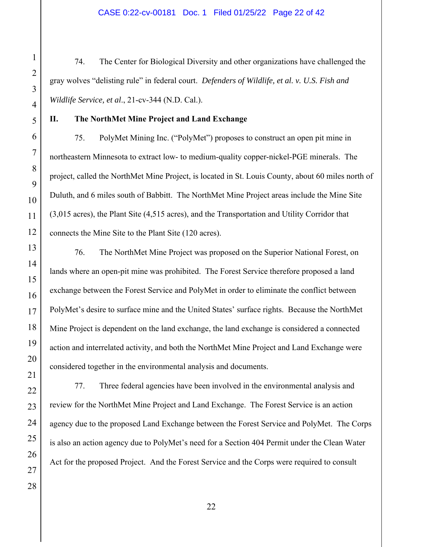#### CASE 0:22-cv-00181 Doc. 1 Filed 01/25/22 Page 22 of 42

74. The Center for Biological Diversity and other organizations have challenged the gray wolves "delisting rule" in federal court. *Defenders of Wildlife, et al. v. U.S. Fish and Wildlife Service, et al*., 21-cv-344 (N.D. Cal.).

#### **II. The NorthMet Mine Project and Land Exchange**

75. PolyMet Mining Inc. ("PolyMet") proposes to construct an open pit mine in northeastern Minnesota to extract low- to medium-quality copper-nickel-PGE minerals. The project, called the NorthMet Mine Project, is located in St. Louis County, about 60 miles north of Duluth, and 6 miles south of Babbitt. The NorthMet Mine Project areas include the Mine Site (3,015 acres), the Plant Site (4,515 acres), and the Transportation and Utility Corridor that connects the Mine Site to the Plant Site (120 acres).

76. The NorthMet Mine Project was proposed on the Superior National Forest, on lands where an open-pit mine was prohibited. The Forest Service therefore proposed a land exchange between the Forest Service and PolyMet in order to eliminate the conflict between PolyMet's desire to surface mine and the United States' surface rights. Because the NorthMet Mine Project is dependent on the land exchange, the land exchange is considered a connected action and interrelated activity, and both the NorthMet Mine Project and Land Exchange were considered together in the environmental analysis and documents.

77. Three federal agencies have been involved in the environmental analysis and review for the NorthMet Mine Project and Land Exchange. The Forest Service is an action agency due to the proposed Land Exchange between the Forest Service and PolyMet. The Corps is also an action agency due to PolyMet's need for a Section 404 Permit under the Clean Water Act for the proposed Project. And the Forest Service and the Corps were required to consult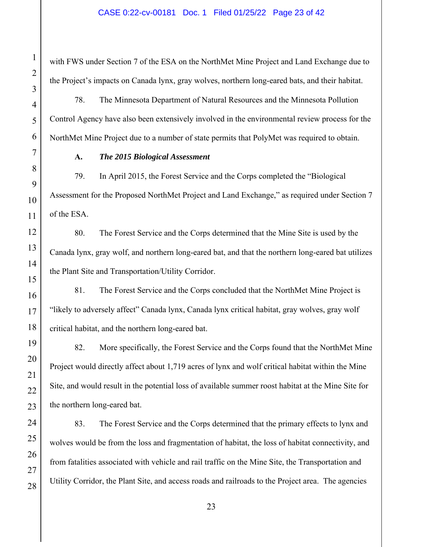#### CASE 0:22-cv-00181 Doc. 1 Filed 01/25/22 Page 23 of 42

with FWS under Section 7 of the ESA on the NorthMet Mine Project and Land Exchange due to the Project's impacts on Canada lynx, gray wolves, northern long-eared bats, and their habitat.

78. The Minnesota Department of Natural Resources and the Minnesota Pollution Control Agency have also been extensively involved in the environmental review process for the NorthMet Mine Project due to a number of state permits that PolyMet was required to obtain.

#### **A.** *The 2015 Biological Assessment*

79. In April 2015, the Forest Service and the Corps completed the "Biological Assessment for the Proposed NorthMet Project and Land Exchange," as required under Section 7 of the ESA.

80. The Forest Service and the Corps determined that the Mine Site is used by the Canada lynx, gray wolf, and northern long-eared bat, and that the northern long-eared bat utilizes the Plant Site and Transportation/Utility Corridor.

81. The Forest Service and the Corps concluded that the NorthMet Mine Project is "likely to adversely affect" Canada lynx, Canada lynx critical habitat, gray wolves, gray wolf critical habitat, and the northern long-eared bat.

82. More specifically, the Forest Service and the Corps found that the NorthMet Mine Project would directly affect about 1,719 acres of lynx and wolf critical habitat within the Mine Site, and would result in the potential loss of available summer roost habitat at the Mine Site for the northern long-eared bat.

83. The Forest Service and the Corps determined that the primary effects to lynx and wolves would be from the loss and fragmentation of habitat, the loss of habitat connectivity, and from fatalities associated with vehicle and rail traffic on the Mine Site, the Transportation and Utility Corridor, the Plant Site, and access roads and railroads to the Project area. The agencies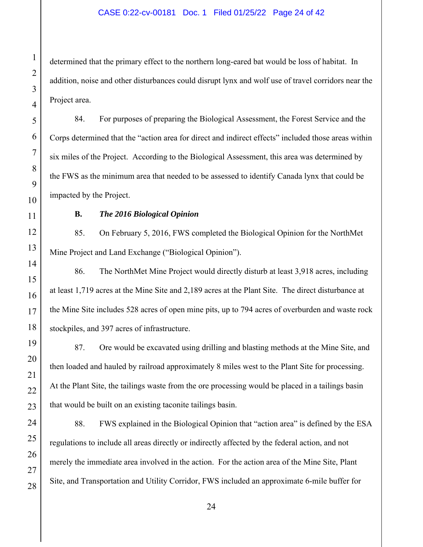#### CASE 0:22-cv-00181 Doc. 1 Filed 01/25/22 Page 24 of 42

determined that the primary effect to the northern long-eared bat would be loss of habitat. In addition, noise and other disturbances could disrupt lynx and wolf use of travel corridors near the Project area.

84. For purposes of preparing the Biological Assessment, the Forest Service and the Corps determined that the "action area for direct and indirect effects" included those areas within six miles of the Project. According to the Biological Assessment, this area was determined by the FWS as the minimum area that needed to be assessed to identify Canada lynx that could be impacted by the Project.

#### **B.** *The 2016 Biological Opinion*

85. On February 5, 2016, FWS completed the Biological Opinion for the NorthMet Mine Project and Land Exchange ("Biological Opinion").

86. The NorthMet Mine Project would directly disturb at least 3,918 acres, including at least 1,719 acres at the Mine Site and 2,189 acres at the Plant Site. The direct disturbance at the Mine Site includes 528 acres of open mine pits, up to 794 acres of overburden and waste rock stockpiles, and 397 acres of infrastructure.

87. Ore would be excavated using drilling and blasting methods at the Mine Site, and then loaded and hauled by railroad approximately 8 miles west to the Plant Site for processing. At the Plant Site, the tailings waste from the ore processing would be placed in a tailings basin that would be built on an existing taconite tailings basin.

88. FWS explained in the Biological Opinion that "action area" is defined by the ESA regulations to include all areas directly or indirectly affected by the federal action, and not merely the immediate area involved in the action. For the action area of the Mine Site, Plant Site, and Transportation and Utility Corridor, FWS included an approximate 6-mile buffer for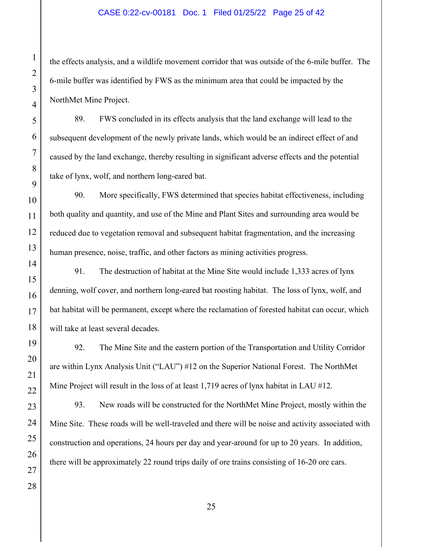#### CASE 0:22-cv-00181 Doc. 1 Filed 01/25/22 Page 25 of 42

the effects analysis, and a wildlife movement corridor that was outside of the 6-mile buffer. The 6-mile buffer was identified by FWS as the minimum area that could be impacted by the NorthMet Mine Project.

89. FWS concluded in its effects analysis that the land exchange will lead to the subsequent development of the newly private lands, which would be an indirect effect of and caused by the land exchange, thereby resulting in significant adverse effects and the potential take of lynx, wolf, and northern long-eared bat.

90. More specifically, FWS determined that species habitat effectiveness, including both quality and quantity, and use of the Mine and Plant Sites and surrounding area would be reduced due to vegetation removal and subsequent habitat fragmentation, and the increasing human presence, noise, traffic, and other factors as mining activities progress.

91. The destruction of habitat at the Mine Site would include 1,333 acres of lynx denning, wolf cover, and northern long-eared bat roosting habitat. The loss of lynx, wolf, and bat habitat will be permanent, except where the reclamation of forested habitat can occur, which will take at least several decades.

92. The Mine Site and the eastern portion of the Transportation and Utility Corridor are within Lynx Analysis Unit ("LAU") #12 on the Superior National Forest. The NorthMet Mine Project will result in the loss of at least 1,719 acres of lynx habitat in LAU #12.

93. New roads will be constructed for the NorthMet Mine Project, mostly within the Mine Site. These roads will be well-traveled and there will be noise and activity associated with construction and operations, 24 hours per day and year-around for up to 20 years. In addition, there will be approximately 22 round trips daily of ore trains consisting of 16-20 ore cars.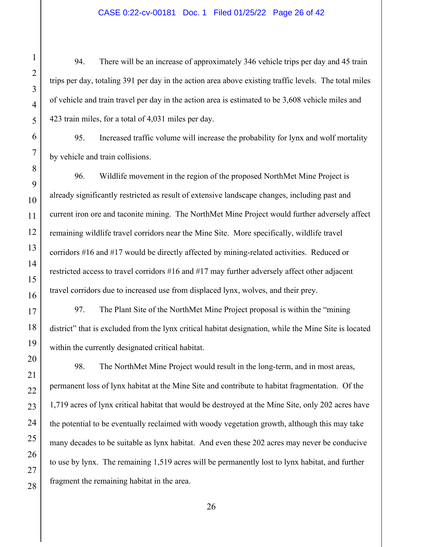#### CASE 0:22-cv-00181 Doc. 1 Filed 01/25/22 Page 26 of 42

94. There will be an increase of approximately 346 vehicle trips per day and 45 train trips per day, totaling 391 per day in the action area above existing traffic levels. The total miles of vehicle and train travel per day in the action area is estimated to be 3,608 vehicle miles and 423 train miles, for a total of 4,031 miles per day.

95. Increased traffic volume will increase the probability for lynx and wolf mortality by vehicle and train collisions.

96. Wildlife movement in the region of the proposed NorthMet Mine Project is already significantly restricted as result of extensive landscape changes, including past and current iron ore and taconite mining. The NorthMet Mine Project would further adversely affect remaining wildlife travel corridors near the Mine Site. More specifically, wildlife travel corridors #16 and #17 would be directly affected by mining-related activities. Reduced or restricted access to travel corridors #16 and #17 may further adversely affect other adjacent travel corridors due to increased use from displaced lynx, wolves, and their prey.

97. The Plant Site of the NorthMet Mine Project proposal is within the "mining district" that is excluded from the lynx critical habitat designation, while the Mine Site is located within the currently designated critical habitat.

98. The NorthMet Mine Project would result in the long-term, and in most areas, permanent loss of lynx habitat at the Mine Site and contribute to habitat fragmentation. Of the 1,719 acres of lynx critical habitat that would be destroyed at the Mine Site, only 202 acres have the potential to be eventually reclaimed with woody vegetation growth, although this may take many decades to be suitable as lynx habitat. And even these 202 acres may never be conducive to use by lynx. The remaining 1,519 acres will be permanently lost to lynx habitat, and further fragment the remaining habitat in the area.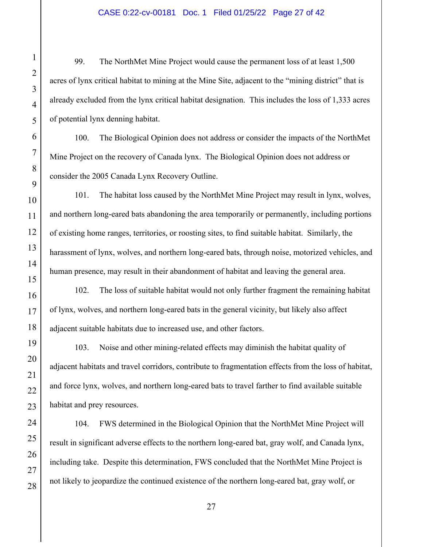#### CASE 0:22-cv-00181 Doc. 1 Filed 01/25/22 Page 27 of 42

99. The NorthMet Mine Project would cause the permanent loss of at least 1,500 acres of lynx critical habitat to mining at the Mine Site, adjacent to the "mining district" that is already excluded from the lynx critical habitat designation. This includes the loss of 1,333 acres of potential lynx denning habitat.

100. The Biological Opinion does not address or consider the impacts of the NorthMet Mine Project on the recovery of Canada lynx. The Biological Opinion does not address or consider the 2005 Canada Lynx Recovery Outline.

101. The habitat loss caused by the NorthMet Mine Project may result in lynx, wolves, and northern long-eared bats abandoning the area temporarily or permanently, including portions of existing home ranges, territories, or roosting sites, to find suitable habitat. Similarly, the harassment of lynx, wolves, and northern long-eared bats, through noise, motorized vehicles, and human presence, may result in their abandonment of habitat and leaving the general area.

102. The loss of suitable habitat would not only further fragment the remaining habitat of lynx, wolves, and northern long-eared bats in the general vicinity, but likely also affect adjacent suitable habitats due to increased use, and other factors.

103. Noise and other mining-related effects may diminish the habitat quality of adjacent habitats and travel corridors, contribute to fragmentation effects from the loss of habitat, and force lynx, wolves, and northern long-eared bats to travel farther to find available suitable habitat and prey resources.

104. FWS determined in the Biological Opinion that the NorthMet Mine Project will result in significant adverse effects to the northern long-eared bat, gray wolf, and Canada lynx, including take. Despite this determination, FWS concluded that the NorthMet Mine Project is not likely to jeopardize the continued existence of the northern long-eared bat, gray wolf, or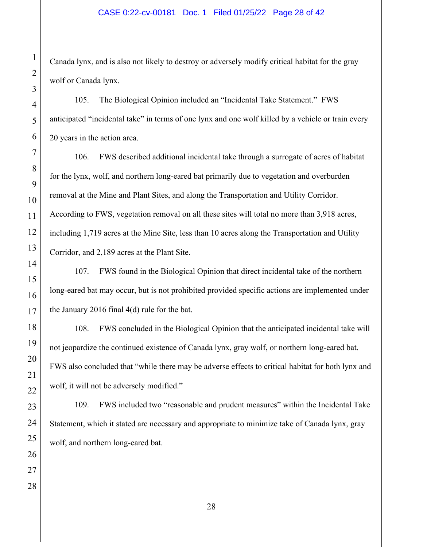#### CASE 0:22-cv-00181 Doc. 1 Filed 01/25/22 Page 28 of 42

Canada lynx, and is also not likely to destroy or adversely modify critical habitat for the gray wolf or Canada lynx.

105. The Biological Opinion included an "Incidental Take Statement." FWS anticipated "incidental take" in terms of one lynx and one wolf killed by a vehicle or train every 20 years in the action area.

106. FWS described additional incidental take through a surrogate of acres of habitat for the lynx, wolf, and northern long-eared bat primarily due to vegetation and overburden removal at the Mine and Plant Sites, and along the Transportation and Utility Corridor. According to FWS, vegetation removal on all these sites will total no more than 3,918 acres, including 1,719 acres at the Mine Site, less than 10 acres along the Transportation and Utility Corridor, and 2,189 acres at the Plant Site.

107. FWS found in the Biological Opinion that direct incidental take of the northern long-eared bat may occur, but is not prohibited provided specific actions are implemented under the January 2016 final 4(d) rule for the bat.

108. FWS concluded in the Biological Opinion that the anticipated incidental take will not jeopardize the continued existence of Canada lynx, gray wolf, or northern long-eared bat. FWS also concluded that "while there may be adverse effects to critical habitat for both lynx and wolf, it will not be adversely modified."

109. FWS included two "reasonable and prudent measures" within the Incidental Take Statement, which it stated are necessary and appropriate to minimize take of Canada lynx, gray wolf, and northern long-eared bat.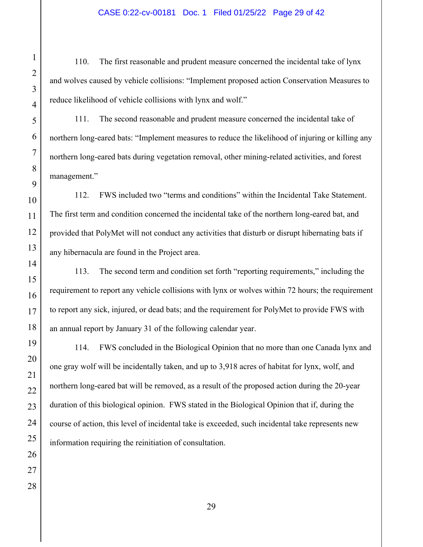#### CASE 0:22-cv-00181 Doc. 1 Filed 01/25/22 Page 29 of 42

110. The first reasonable and prudent measure concerned the incidental take of lynx and wolves caused by vehicle collisions: "Implement proposed action Conservation Measures to reduce likelihood of vehicle collisions with lynx and wolf."

111. The second reasonable and prudent measure concerned the incidental take of northern long-eared bats: "Implement measures to reduce the likelihood of injuring or killing any northern long-eared bats during vegetation removal, other mining-related activities, and forest management."

112. FWS included two "terms and conditions" within the Incidental Take Statement. The first term and condition concerned the incidental take of the northern long-eared bat, and provided that PolyMet will not conduct any activities that disturb or disrupt hibernating bats if any hibernacula are found in the Project area.

113. The second term and condition set forth "reporting requirements," including the requirement to report any vehicle collisions with lynx or wolves within 72 hours; the requirement to report any sick, injured, or dead bats; and the requirement for PolyMet to provide FWS with an annual report by January 31 of the following calendar year.

114. FWS concluded in the Biological Opinion that no more than one Canada lynx and one gray wolf will be incidentally taken, and up to 3,918 acres of habitat for lynx, wolf, and northern long-eared bat will be removed, as a result of the proposed action during the 20-year duration of this biological opinion. FWS stated in the Biological Opinion that if, during the course of action, this level of incidental take is exceeded, such incidental take represents new information requiring the reinitiation of consultation.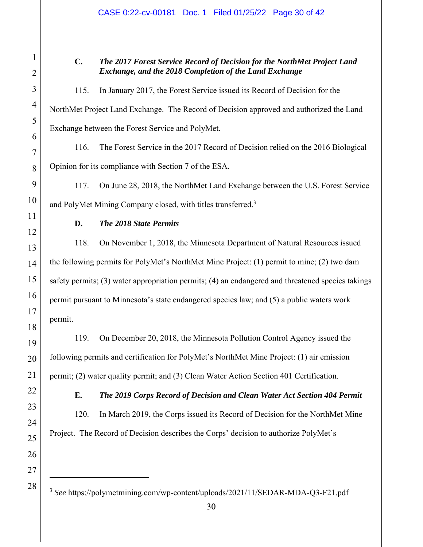#### CASE 0:22-cv-00181 Doc. 1 Filed 01/25/22 Page 30 of 42

#### **C.** *The 2017 Forest Service Record of Decision for the NorthMet Project Land Exchange, and the 2018 Completion of the Land Exchange*

## 115. In January 2017, the Forest Service issued its Record of Decision for the NorthMet Project Land Exchange. The Record of Decision approved and authorized the Land Exchange between the Forest Service and PolyMet.

116. The Forest Service in the 2017 Record of Decision relied on the 2016 Biological Opinion for its compliance with Section 7 of the ESA.

117. On June 28, 2018, the NorthMet Land Exchange between the U.S. Forest Service and PolyMet Mining Company closed, with titles transferred.<sup>3</sup>

#### **D.** *The 2018 State Permits*

118. On November 1, 2018, the Minnesota Department of Natural Resources issued the following permits for PolyMet's NorthMet Mine Project: (1) permit to mine; (2) two dam safety permits; (3) water appropriation permits; (4) an endangered and threatened species takings permit pursuant to Minnesota's state endangered species law; and (5) a public waters work permit.

119. On December 20, 2018, the Minnesota Pollution Control Agency issued the following permits and certification for PolyMet's NorthMet Mine Project: (1) air emission permit; (2) water quality permit; and (3) Clean Water Action Section 401 Certification.

**E.** *The 2019 Corps Record of Decision and Clean Water Act Section 404 Permit*

120. In March 2019, the Corps issued its Record of Decision for the NorthMet Mine Project. The Record of Decision describes the Corps' decision to authorize PolyMet's

<sup>3</sup> *See* https://polymetmining.com/wp-content/uploads/2021/11/SEDAR-MDA-Q3-F21.pdf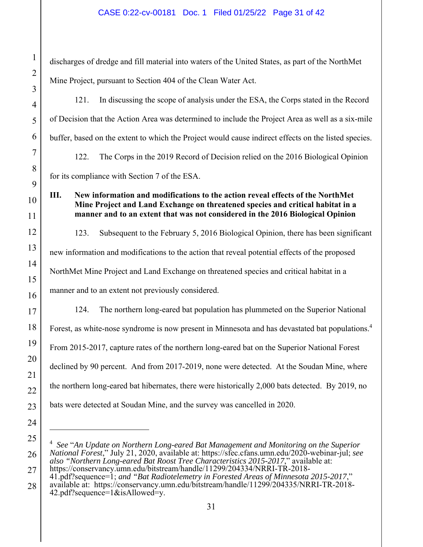#### CASE 0:22-cv-00181 Doc. 1 Filed 01/25/22 Page 31 of 42

discharges of dredge and fill material into waters of the United States, as part of the NorthMet Mine Project, pursuant to Section 404 of the Clean Water Act. 121. In discussing the scope of analysis under the ESA, the Corps stated in the Record of Decision that the Action Area was determined to include the Project Area as well as a six-mile buffer, based on the extent to which the Project would cause indirect effects on the listed species. 122. The Corps in the 2019 Record of Decision relied on the 2016 Biological Opinion for its compliance with Section 7 of the ESA. **III. New information and modifications to the action reveal effects of the NorthMet Mine Project and Land Exchange on threatened species and critical habitat in a manner and to an extent that was not considered in the 2016 Biological Opinion** 123. Subsequent to the February 5, 2016 Biological Opinion, there has been significant new information and modifications to the action that reveal potential effects of the proposed NorthMet Mine Project and Land Exchange on threatened species and critical habitat in a manner and to an extent not previously considered. 124. The northern long-eared bat population has plummeted on the Superior National Forest, as white-nose syndrome is now present in Minnesota and has devastated bat populations.<sup>4</sup> From 2015-2017, capture rates of the northern long-eared bat on the Superior National Forest declined by 90 percent. And from 2017-2019, none were detected. At the Soudan Mine, where the northern long-eared bat hibernates, there were historically 2,000 bats detected. By 2019, no bats were detected at Soudan Mine, and the survey was cancelled in 2020.

<sup>4</sup> *See* "*An Update on Northern Long-eared Bat Management and Monitoring on the Superior National Forest*," July 21, 2020, available at: https://sfec.cfans.umn.edu/2020-webinar-jul; *see also "Northern Long-eared Bat Roost Tree Characteristics 2015-2017*," available at: https://conservancy.umn.edu/bitstream/handle/11299/204334/NRRI-TR-2018-

<sup>41.</sup>pdf?sequence=1; *and "Bat Radiotelemetry in Forested Areas of Minnesota 2015-2017*,"

available at: https://conservancy.umn.edu/bitstream/handle/11299/204335/NRRI-TR-2018- 42.pdf?sequence=1&isAllowed=y.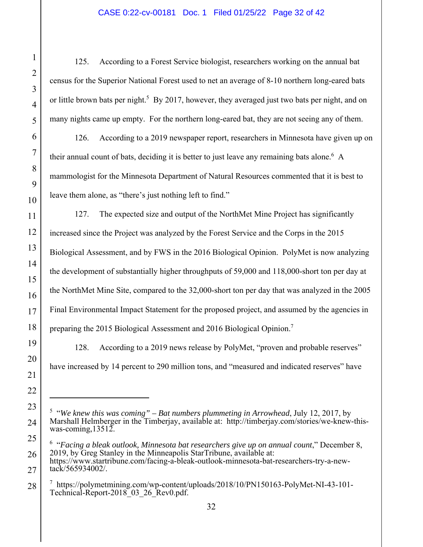#### CASE 0:22-cv-00181 Doc. 1 Filed 01/25/22 Page 32 of 42

125. According to a Forest Service biologist, researchers working on the annual bat census for the Superior National Forest used to net an average of 8-10 northern long-eared bats or little brown bats per night.<sup>5</sup> By 2017, however, they averaged just two bats per night, and on many nights came up empty. For the northern long-eared bat, they are not seeing any of them.

126. According to a 2019 newspaper report, researchers in Minnesota have given up on their annual count of bats, deciding it is better to just leave any remaining bats alone.<sup>6</sup> A mammologist for the Minnesota Department of Natural Resources commented that it is best to leave them alone, as "there's just nothing left to find."

127. The expected size and output of the NorthMet Mine Project has significantly increased since the Project was analyzed by the Forest Service and the Corps in the 2015 Biological Assessment, and by FWS in the 2016 Biological Opinion. PolyMet is now analyzing the development of substantially higher throughputs of 59,000 and 118,000-short ton per day at the NorthMet Mine Site, compared to the 32,000-short ton per day that was analyzed in the 2005 Final Environmental Impact Statement for the proposed project, and assumed by the agencies in preparing the 2015 Biological Assessment and 2016 Biological Opinion.<sup>7</sup>

128. According to a 2019 news release by PolyMet, "proven and probable reserves" have increased by 14 percent to 290 million tons, and "measured and indicated reserves" have

<sup>5</sup> "*We knew this was coming" – Bat numbers plummeting in Arrowhead*, July 12, 2017, by Marshall Helmberger in the Timberjay, available at: http://timberjay.com/stories/we-knew-thiswas-coming,13512.

<sup>&</sup>lt;sup>6</sup> "Facing a bleak outlook, Minnesota bat researchers give up on annual count," December 8, 2019, by Greg Stanley in the Minneapolis StarTribune, available at: https://www.startribune.com/facing-a-bleak-outlook-minnesota-bat-researchers-try-a-newtack/565934002/.

<sup>7</sup> https://polymetmining.com/wp-content/uploads/2018/10/PN150163-PolyMet-NI-43-101- Technical-Report-2018\_03\_26\_Rev0.pdf.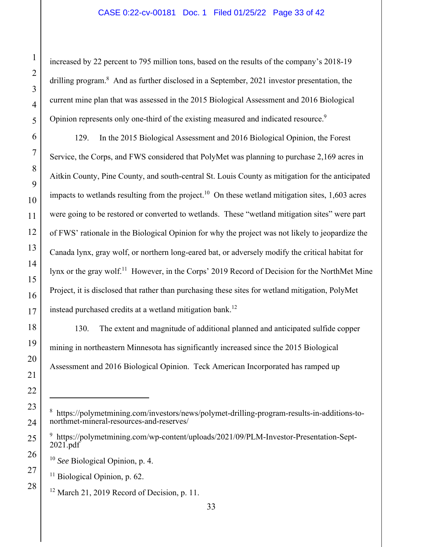#### CASE 0:22-cv-00181 Doc. 1 Filed 01/25/22 Page 33 of 42

increased by 22 percent to 795 million tons, based on the results of the company's 2018-19 drilling program.<sup>8</sup> And as further disclosed in a September, 2021 investor presentation, the current mine plan that was assessed in the 2015 Biological Assessment and 2016 Biological Opinion represents only one-third of the existing measured and indicated resource.<sup>9</sup>

129. In the 2015 Biological Assessment and 2016 Biological Opinion, the Forest Service, the Corps, and FWS considered that PolyMet was planning to purchase 2,169 acres in Aitkin County, Pine County, and south-central St. Louis County as mitigation for the anticipated impacts to wetlands resulting from the project.<sup>10</sup> On these wetland mitigation sites,  $1,603$  acres were going to be restored or converted to wetlands. These "wetland mitigation sites" were part of FWS' rationale in the Biological Opinion for why the project was not likely to jeopardize the Canada lynx, gray wolf, or northern long-eared bat, or adversely modify the critical habitat for lynx or the gray wolf.<sup>11</sup> However, in the Corps' 2019 Record of Decision for the NorthMet Mine Project, it is disclosed that rather than purchasing these sites for wetland mitigation, PolyMet instead purchased credits at a wetland mitigation bank.<sup>12</sup>

130. The extent and magnitude of additional planned and anticipated sulfide copper mining in northeastern Minnesota has significantly increased since the 2015 Biological Assessment and 2016 Biological Opinion. Teck American Incorporated has ramped up

 $11$  Biological Opinion, p. 62.

<sup>8</sup> https://polymetmining.com/investors/news/polymet-drilling-program-results-in-additions-tonorthmet-mineral-resources-and-reserves/

<sup>&</sup>lt;sup>9</sup> https://polymetmining.com/wp-content/uploads/2021/09/PLM-Investor-Presentation-Sept-2021.pdf

<sup>10</sup> *See* Biological Opinion, p. 4.

 $12$  March 21, 2019 Record of Decision, p. 11.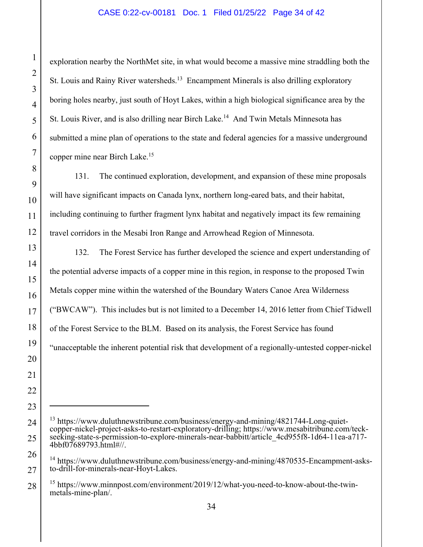#### CASE 0:22-cv-00181 Doc. 1 Filed 01/25/22 Page 34 of 42

exploration nearby the NorthMet site, in what would become a massive mine straddling both the St. Louis and Rainy River watersheds.<sup>13</sup> Encampment Minerals is also drilling exploratory boring holes nearby, just south of Hoyt Lakes, within a high biological significance area by the St. Louis River, and is also drilling near Birch Lake.<sup>14</sup> And Twin Metals Minnesota has submitted a mine plan of operations to the state and federal agencies for a massive underground copper mine near Birch Lake.15

131. The continued exploration, development, and expansion of these mine proposals will have significant impacts on Canada lynx, northern long-eared bats, and their habitat, including continuing to further fragment lynx habitat and negatively impact its few remaining travel corridors in the Mesabi Iron Range and Arrowhead Region of Minnesota.

132. The Forest Service has further developed the science and expert understanding of the potential adverse impacts of a copper mine in this region, in response to the proposed Twin Metals copper mine within the watershed of the Boundary Waters Canoe Area Wilderness ("BWCAW"). This includes but is not limited to a December 14, 2016 letter from Chief Tidwell of the Forest Service to the BLM. Based on its analysis, the Forest Service has found "unacceptable the inherent potential risk that development of a regionally-untested copper-nickel

<sup>&</sup>lt;sup>13</sup> https://www.duluthnewstribune.com/business/energy-and-mining/4821744-Long-quietcopper-nickel-project-asks-to-restart-exploratory-drilling; https://www.mesabitribune.com/teckseeking-state-s-permission-to-explore-minerals-near-babbitt/article\_4cd955f8-1d64-11ea-a717- 4bbf07689793.html#//.

<sup>&</sup>lt;sup>14</sup> https://www.duluthnewstribune.com/business/energy-and-mining/4870535-Encampment-asksto-drill-for-minerals-near-Hoyt-Lakes.

<sup>&</sup>lt;sup>15</sup> https://www.minnpost.com/environment/2019/12/what-you-need-to-know-about-the-twinmetals-mine-plan/.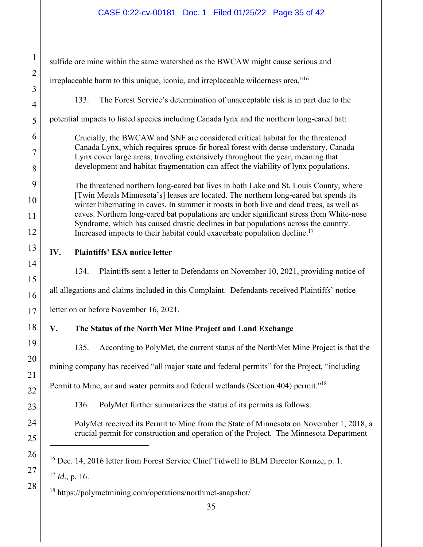### CASE 0:22-cv-00181 Doc. 1 Filed 01/25/22 Page 35 of 42

| $\mathbf{1}$   | sulfide ore mine within the same watershed as the BWCAW might cause serious and                                                                                                  |  |  |  |  |  |
|----------------|----------------------------------------------------------------------------------------------------------------------------------------------------------------------------------|--|--|--|--|--|
| $\overline{2}$ | irreplaceable harm to this unique, iconic, and irreplaceable wilderness area." <sup>16</sup>                                                                                     |  |  |  |  |  |
| 3              |                                                                                                                                                                                  |  |  |  |  |  |
| $\overline{4}$ | The Forest Service's determination of unacceptable risk is in part due to the<br>133.                                                                                            |  |  |  |  |  |
| 5              | potential impacts to listed species including Canada lynx and the northern long-eared bat:                                                                                       |  |  |  |  |  |
| 6              | Crucially, the BWCAW and SNF are considered critical habitat for the threatened                                                                                                  |  |  |  |  |  |
| $\overline{7}$ | Canada Lynx, which requires spruce-fir boreal forest with dense understory. Canada<br>Lynx cover large areas, traveling extensively throughout the year, meaning that            |  |  |  |  |  |
| 8              | development and habitat fragmentation can affect the viability of lynx populations.                                                                                              |  |  |  |  |  |
| 9              | The threatened northern long-eared bat lives in both Lake and St. Louis County, where                                                                                            |  |  |  |  |  |
| 10             | [Twin Metals Minnesota's] leases are located. The northern long-eared bat spends its<br>winter hibernating in caves. In summer it roosts in both live and dead trees, as well as |  |  |  |  |  |
| 11             | caves. Northern long-eared bat populations are under significant stress from White-nose<br>Syndrome, which has caused drastic declines in bat populations across the country.    |  |  |  |  |  |
| 12             | Increased impacts to their habitat could exacerbate population decline. <sup>17</sup>                                                                                            |  |  |  |  |  |
| 13             | IV.<br><b>Plaintiffs' ESA notice letter</b>                                                                                                                                      |  |  |  |  |  |
| 14             | 134.<br>Plaintiffs sent a letter to Defendants on November 10, 2021, providing notice of                                                                                         |  |  |  |  |  |
| 15             |                                                                                                                                                                                  |  |  |  |  |  |
| 16             | all allegations and claims included in this Complaint. Defendants received Plaintiffs' notice                                                                                    |  |  |  |  |  |
| 17             | letter on or before November 16, 2021.                                                                                                                                           |  |  |  |  |  |
| 18             | V.<br>The Status of the NorthMet Mine Project and Land Exchange                                                                                                                  |  |  |  |  |  |
| 19             | 135.<br>According to PolyMet, the current status of the NorthMet Mine Project is that the                                                                                        |  |  |  |  |  |
| 20             | mining company has received "all major state and federal permits" for the Project, "including                                                                                    |  |  |  |  |  |
| 21             | Permit to Mine, air and water permits and federal wetlands (Section 404) permit." <sup>18</sup>                                                                                  |  |  |  |  |  |
| 22             |                                                                                                                                                                                  |  |  |  |  |  |
| 23             | PolyMet further summarizes the status of its permits as follows:<br>136.                                                                                                         |  |  |  |  |  |
| 24             | PolyMet received its Permit to Mine from the State of Minnesota on November 1, 2018, a                                                                                           |  |  |  |  |  |
| 25             | crucial permit for construction and operation of the Project. The Minnesota Department                                                                                           |  |  |  |  |  |
| 26             | <sup>16</sup> Dec. 14, 2016 letter from Forest Service Chief Tidwell to BLM Director Kornze, p. 1.                                                                               |  |  |  |  |  |
| 27             | $17$ <i>Id.</i> , p. 16.                                                                                                                                                         |  |  |  |  |  |
| 28             | <sup>18</sup> https://polymetmining.com/operations/northmet-snapshot/                                                                                                            |  |  |  |  |  |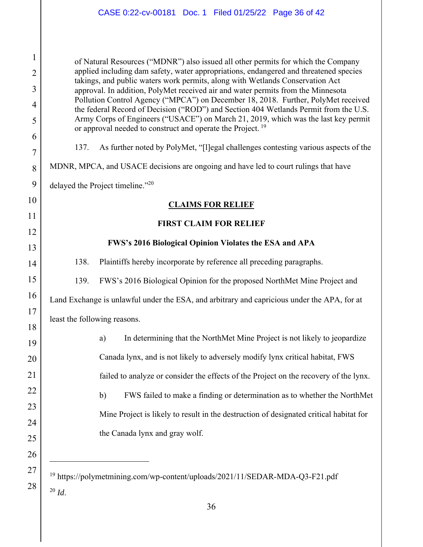#### CASE 0:22-cv-00181 Doc. 1 Filed 01/25/22 Page 36 of 42

of Natural Resources ("MDNR") also issued all other permits for which the Company applied including dam safety, water appropriations, endangered and threatened species takings, and public waters work permits, along with Wetlands Conservation Act approval. In addition, PolyMet received air and water permits from the Minnesota Pollution Control Agency ("MPCA") on December 18, 2018. Further, PolyMet received the federal Record of Decision ("ROD") and Section 404 Wetlands Permit from the U.S. Army Corps of Engineers ("USACE") on March 21, 2019, which was the last key permit or approval needed to construct and operate the Project.<sup>19</sup>

137. As further noted by PolyMet, "[l]egal challenges contesting various aspects of the

MDNR, MPCA, and USACE decisions are ongoing and have led to court rulings that have

delayed the Project timeline."<sup>20</sup>

1

2

3

4

5

6

7

8

9

10

11

12

13

14

15

16

17

18

26

27

28

#### **CLAIMS FOR RELIEF**

#### **FIRST CLAIM FOR RELIEF**

#### **FWS's 2016 Biological Opinion Violates the ESA and APA**

138. Plaintiffs hereby incorporate by reference all preceding paragraphs.

139. FWS's 2016 Biological Opinion for the proposed NorthMet Mine Project and

Land Exchange is unlawful under the ESA, and arbitrary and capricious under the APA, for at least the following reasons.

19 20 21 22 23 24 25 a) In determining that the NorthMet Mine Project is not likely to jeopardize Canada lynx, and is not likely to adversely modify lynx critical habitat, FWS failed to analyze or consider the effects of the Project on the recovery of the lynx. b) FWS failed to make a finding or determination as to whether the NorthMet Mine Project is likely to result in the destruction of designated critical habitat for the Canada lynx and gray wolf.

<sup>19</sup> https://polymetmining.com/wp-content/uploads/2021/11/SEDAR-MDA-Q3-F21.pdf <sup>20</sup> *Id*.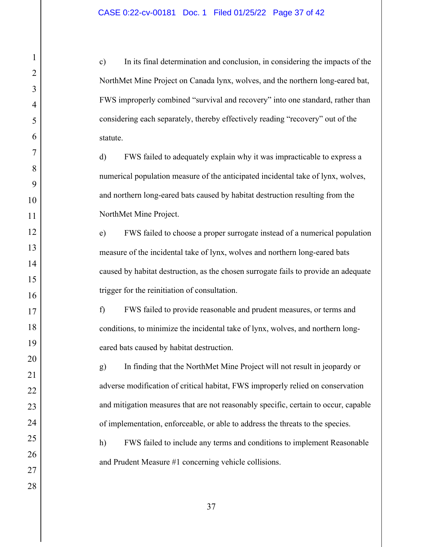1

2

3

4

5

6

7

8

9

10

11

12

13

14

15

16

17

18

19

20

21

22

23

24

25

26

27

28

c) In its final determination and conclusion, in considering the impacts of the NorthMet Mine Project on Canada lynx, wolves, and the northern long-eared bat, FWS improperly combined "survival and recovery" into one standard, rather than considering each separately, thereby effectively reading "recovery" out of the statute.

d) FWS failed to adequately explain why it was impracticable to express a numerical population measure of the anticipated incidental take of lynx, wolves, and northern long-eared bats caused by habitat destruction resulting from the NorthMet Mine Project.

e) FWS failed to choose a proper surrogate instead of a numerical population measure of the incidental take of lynx, wolves and northern long-eared bats caused by habitat destruction, as the chosen surrogate fails to provide an adequate trigger for the reinitiation of consultation.

f) FWS failed to provide reasonable and prudent measures, or terms and conditions, to minimize the incidental take of lynx, wolves, and northern longeared bats caused by habitat destruction.

g) In finding that the NorthMet Mine Project will not result in jeopardy or adverse modification of critical habitat, FWS improperly relied on conservation and mitigation measures that are not reasonably specific, certain to occur, capable of implementation, enforceable, or able to address the threats to the species.

h) FWS failed to include any terms and conditions to implement Reasonable and Prudent Measure #1 concerning vehicle collisions.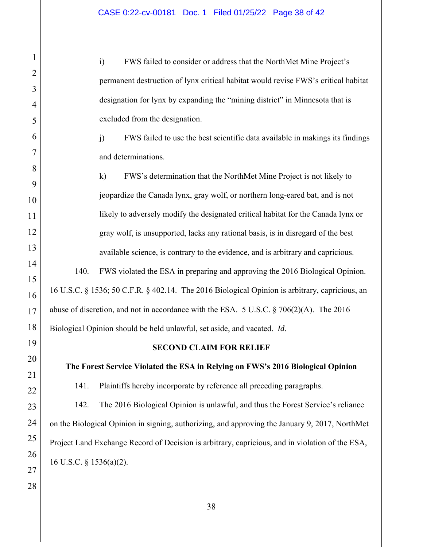i) FWS failed to consider or address that the NorthMet Mine Project's permanent destruction of lynx critical habitat would revise FWS's critical habitat designation for lynx by expanding the "mining district" in Minnesota that is excluded from the designation.

j) FWS failed to use the best scientific data available in makings its findings and determinations.

k) FWS's determination that the NorthMet Mine Project is not likely to jeopardize the Canada lynx, gray wolf, or northern long-eared bat, and is not likely to adversely modify the designated critical habitat for the Canada lynx or gray wolf, is unsupported, lacks any rational basis, is in disregard of the best available science, is contrary to the evidence, and is arbitrary and capricious.

140. FWS violated the ESA in preparing and approving the 2016 Biological Opinion. 16 U.S.C. § 1536; 50 C.F.R. § 402.14. The 2016 Biological Opinion is arbitrary, capricious, an abuse of discretion, and not in accordance with the ESA. 5 U.S.C.  $\S 706(2)(A)$ . The 2016 Biological Opinion should be held unlawful, set aside, and vacated. *Id*.

#### **SECOND CLAIM FOR RELIEF**

#### **The Forest Service Violated the ESA in Relying on FWS's 2016 Biological Opinion**

141. Plaintiffs hereby incorporate by reference all preceding paragraphs.

142. The 2016 Biological Opinion is unlawful, and thus the Forest Service's reliance on the Biological Opinion in signing, authorizing, and approving the January 9, 2017, NorthMet Project Land Exchange Record of Decision is arbitrary, capricious, and in violation of the ESA, 16 U.S.C. § 1536(a)(2).

27 28

1

2

3

4

5

6

7

8

9

10

11

12

13

14

15

16

17

18

19

20

21

22

23

24

25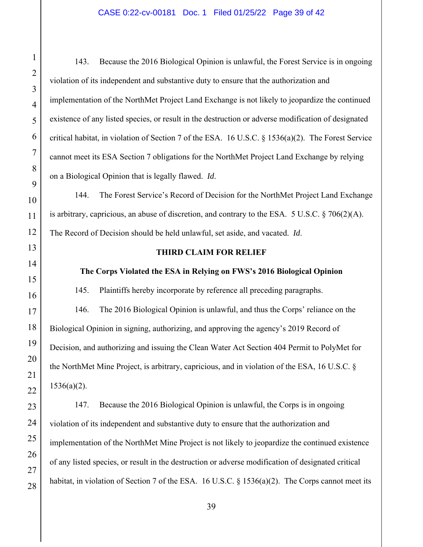#### CASE 0:22-cv-00181 Doc. 1 Filed 01/25/22 Page 39 of 42

143. Because the 2016 Biological Opinion is unlawful, the Forest Service is in ongoing violation of its independent and substantive duty to ensure that the authorization and implementation of the NorthMet Project Land Exchange is not likely to jeopardize the continued existence of any listed species, or result in the destruction or adverse modification of designated critical habitat, in violation of Section 7 of the ESA. 16 U.S.C. § 1536(a)(2). The Forest Service cannot meet its ESA Section 7 obligations for the NorthMet Project Land Exchange by relying on a Biological Opinion that is legally flawed. *Id*.

144. The Forest Service's Record of Decision for the NorthMet Project Land Exchange is arbitrary, capricious, an abuse of discretion, and contrary to the ESA. 5 U.S.C.  $\S$  706(2)(A). The Record of Decision should be held unlawful, set aside, and vacated. *Id*.

#### **THIRD CLAIM FOR RELIEF**

#### **The Corps Violated the ESA in Relying on FWS's 2016 Biological Opinion**

145. Plaintiffs hereby incorporate by reference all preceding paragraphs.

146. The 2016 Biological Opinion is unlawful, and thus the Corps' reliance on the Biological Opinion in signing, authorizing, and approving the agency's 2019 Record of Decision, and authorizing and issuing the Clean Water Act Section 404 Permit to PolyMet for the NorthMet Mine Project, is arbitrary, capricious, and in violation of the ESA, 16 U.S.C. § 1536(a)(2).

147. Because the 2016 Biological Opinion is unlawful, the Corps is in ongoing violation of its independent and substantive duty to ensure that the authorization and implementation of the NorthMet Mine Project is not likely to jeopardize the continued existence of any listed species, or result in the destruction or adverse modification of designated critical habitat, in violation of Section 7 of the ESA. 16 U.S.C. § 1536(a)(2). The Corps cannot meet its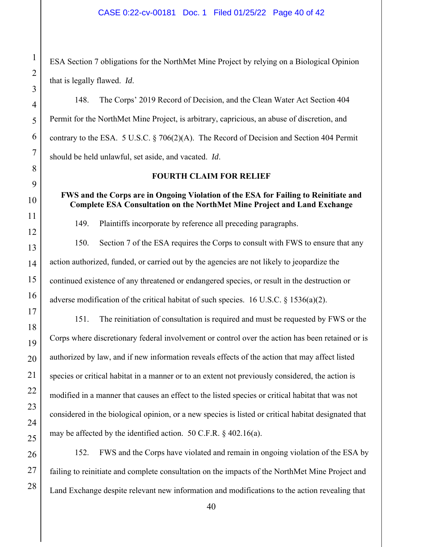#### CASE 0:22-cv-00181 Doc. 1 Filed 01/25/22 Page 40 of 42

ESA Section 7 obligations for the NorthMet Mine Project by relying on a Biological Opinion that is legally flawed. *Id*.

148. The Corps' 2019 Record of Decision, and the Clean Water Act Section 404 Permit for the NorthMet Mine Project, is arbitrary, capricious, an abuse of discretion, and contrary to the ESA. 5 U.S.C. § 706(2)(A). The Record of Decision and Section 404 Permit should be held unlawful, set aside, and vacated. *Id*.

#### **FOURTH CLAIM FOR RELIEF**

#### **FWS and the Corps are in Ongoing Violation of the ESA for Failing to Reinitiate and Complete ESA Consultation on the NorthMet Mine Project and Land Exchange**

149. Plaintiffs incorporate by reference all preceding paragraphs.

150. Section 7 of the ESA requires the Corps to consult with FWS to ensure that any action authorized, funded, or carried out by the agencies are not likely to jeopardize the continued existence of any threatened or endangered species, or result in the destruction or adverse modification of the critical habitat of such species. 16 U.S.C. § 1536(a)(2).

151. The reinitiation of consultation is required and must be requested by FWS or the Corps where discretionary federal involvement or control over the action has been retained or is authorized by law, and if new information reveals effects of the action that may affect listed species or critical habitat in a manner or to an extent not previously considered, the action is modified in a manner that causes an effect to the listed species or critical habitat that was not considered in the biological opinion, or a new species is listed or critical habitat designated that may be affected by the identified action. 50 C.F.R. § 402.16(a).

152. FWS and the Corps have violated and remain in ongoing violation of the ESA by failing to reinitiate and complete consultation on the impacts of the NorthMet Mine Project and Land Exchange despite relevant new information and modifications to the action revealing that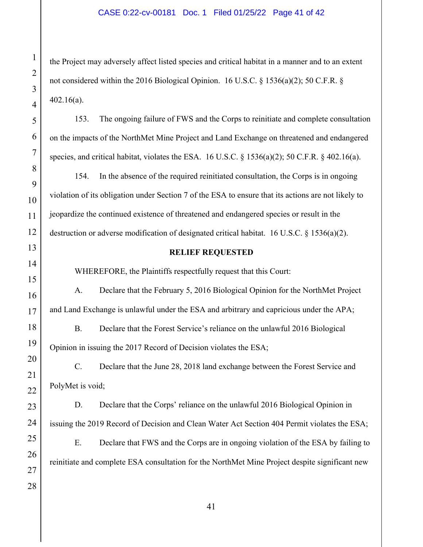#### CASE 0:22-cv-00181 Doc. 1 Filed 01/25/22 Page 41 of 42

the Project may adversely affect listed species and critical habitat in a manner and to an extent not considered within the 2016 Biological Opinion. 16 U.S.C. § 1536(a)(2); 50 C.F.R. § 402.16(a).

153. The ongoing failure of FWS and the Corps to reinitiate and complete consultation on the impacts of the NorthMet Mine Project and Land Exchange on threatened and endangered species, and critical habitat, violates the ESA. 16 U.S.C. § 1536(a)(2); 50 C.F.R. § 402.16(a).

154. In the absence of the required reinitiated consultation, the Corps is in ongoing violation of its obligation under Section 7 of the ESA to ensure that its actions are not likely to jeopardize the continued existence of threatened and endangered species or result in the destruction or adverse modification of designated critical habitat. 16 U.S.C. § 1536(a)(2).

#### **RELIEF REQUESTED**

WHEREFORE, the Plaintiffs respectfully request that this Court:

A. Declare that the February 5, 2016 Biological Opinion for the NorthMet Project and Land Exchange is unlawful under the ESA and arbitrary and capricious under the APA;

B. Declare that the Forest Service's reliance on the unlawful 2016 Biological Opinion in issuing the 2017 Record of Decision violates the ESA;

C. Declare that the June 28, 2018 land exchange between the Forest Service and PolyMet is void;

D. Declare that the Corps' reliance on the unlawful 2016 Biological Opinion in issuing the 2019 Record of Decision and Clean Water Act Section 404 Permit violates the ESA; E. Declare that FWS and the Corps are in ongoing violation of the ESA by failing to reinitiate and complete ESA consultation for the NorthMet Mine Project despite significant new